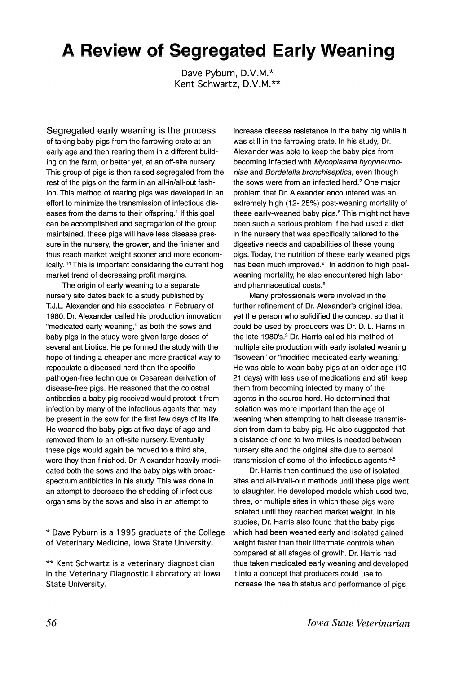## **A Review of Segregated Early Weaning**

Dave Pyburn, D.V.M.\* Kent Schwartz, D.V.M.\*\*

Segregated early weaning is the process of taking baby pigs from the farrowing crate at an early age and then rearing them in a different building on the farm, or better yet, at an off-site nursery. This group of pigs is then raised segregated from the rest of the pigs on the farm in an all-in/all-out fashion. This method of rearing pigs was developed in an effort to minimize the transmission of infectious diseases from the dams to their offspring.<sup>1</sup> If this goal can be accomplished and segregation of the group maintained, these pigs will have less disease pressure in the nursery, the grower, and the finisher and thus reach market weight sooner and more economically. <sup>14</sup> This is important considering the current hog market trend of decreasing profit margins.

The origin of early weaning to a separate nursery site dates back to a study published by T.J.L. Alexander and his associates in February of 1980. Dr. Alexander called his production innovation "medicated early weaning," as both the sows and baby pigs in the study were given large doses of several antibiotics. He performed the study with the hope of finding a cheaper and more practical way to repopulate a diseased herd than the specificpathogen-free technique or Cesarean derivation of disease-free pigs. He reasoned that the colostral antibodies a baby pig received would protect it from infection by many of the infectious agents that may be present in the sow for the first few days of its life. He weaned the baby pigs at five days of age and removed them to an off-site nursery. Eventually these pigs would again be moved to a third site, were they then finished. Dr. Alexander heavily medicated both the sows and the baby pigs with broadspectrum antibiotics in his study. This was done in an attempt to decrease the shedding of infectious organisms by the sows and also in an attempt to

\* Dave Pyburn is a 1995 graduate of the College of Veterinary Medicine, Iowa State University.

\*\* Kent Schwartz is a veterinary diagnostician in the Veterinary Diagnostic Laboratory at Iowa State University.

increase disease resistance in the baby pig while it was still in the farrowing crate. In his study, Dr. Alexander was able to keep the baby pigs from becoming infected with Mycoplasma hyopneumoniae and Bordetella bronchiseptica, even though the sows were from an infected herd.<sup>2</sup> One major problem that Dr. Alexander encountered was an extremely high (12- 25%) post-weaning mortality of these early-weaned baby pigs.<sup>6</sup> This might not have been such a serious problem if he had used a diet in the nursery that was specifically tailored to the digestive needs and capabilities of these young pigs. Today, the nutrition of these early weaned pigs has been much improved.<sup>21</sup> In addition to high postweaning mortality, he also encountered high labor and pharmaceutical costs.<sup>6</sup>

Many professionals were involved in the further refinement of Dr. Alexander's original idea, yet the person who solidified the concept so that it could be used by producers was Dr. D. L. Harris in the late 1980's.<sup>3</sup> Dr. Harris called his method of multiple site production with early isolated weaning "Isowean" or "modified medicated early weaning." He was able to wean baby pigs at an older age (10- 21 days) with less use of medications and still keep them from becoming infected by many of the agents in the source herd. He determined that isolation was more important than the age of weaning when attempting to halt disease transmission from dam to baby pig. He also suggested that a distance of one to two miles is needed between nursery site and the original site due to aerosol transmission of some of the infectious agents.4,5

Dr. Harris then continued the use of isolated sites and all-in/all-out methods until these pigs went to slaughter. He developed models which used two, three, or multiple sites in which these pigs were isolated until they reached market weight. In his studies, Dr. Harris also found that the baby pigs which had been weaned early and isolated gained weight faster than their Iittermate controls when compared at all stages of growth. Dr. Harris had thus taken medicated early weaning and developed it into a concept that producers could use to increase the health status and performance of pigs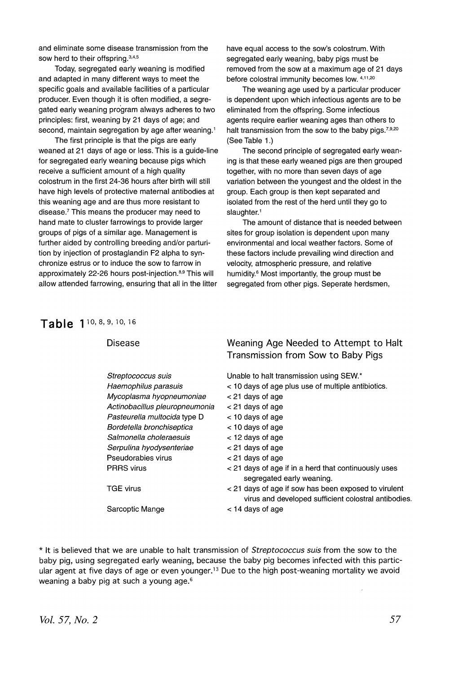and eliminate some disease transmission from the sow herd to their offspring.<sup>3,4,5</sup>

Today, segregated early weaning is modified and adapted in many different ways to meet the specific goals and available facilities of a particular producer. Even though it is often modified, a segregated early weaning program always adheres to two principles: first, weaning by 21 days of age; and second, maintain segregation by age after weaning.<sup>1</sup>

The first principle is that the pigs are early weaned at 21 days of age or less. This is a guide-line for segregated early weaning because pigs which receive a sufficient amount of a high quality colostrum in the first 24-36 hours after birth will still have high levels of protective maternal antibodies at this weaning age and are thus more resistant to disease.? This means the producer may need to hand mate to cluster farrowings to provide larger groups of pigs of a similar age. Management is further aided by controlling breeding and/or parturition by injection of prostaglandin F2 alpha to synchronize estrus or to induce the sow to farrow in approximately 22-26 hours post-injection. 8,9 This will allow attended farrowing, ensuring that all in the litter have equal access to the sow's colostrum. With segregated early weaning, baby pigs must be removed from the sow at a maximum age of 21 days before colostral immunity becomes low. 4,11,20

The weaning age used by a particular producer is dependent upon which infectious agents are to be eliminated from the offspring. Some infectious agents require earlier weaning ages than others to halt transmission from the sow to the baby pigs.  $7,9,20$ (See Table 1.)

The second principle of segregated early weaning is that these early weaned pigs are then grouped together, with no more than seven days of age variation between the youngest and the oldest in the group. Each group is then kept separated and isolated from the rest of the herd until they go to slaughter.<sup>1</sup>

The amount of distance that is needed between sites for group isolation is dependent upon many environmentai and iocai weather factors. Some of these factors include prevailing wind direction and velocity, atmospheric pressure, and relative humidity.6 Most importantly, the group must be segregated from other pigs. Seperate herdsmen,

Table 1<sup>10, 8, 9, 10, 16</sup>

| Transmission from Sow to Baby Pigs                                                                                        |  |
|---------------------------------------------------------------------------------------------------------------------------|--|
| Unable to halt transmission using SEW.*<br>Streptococcus suis                                                             |  |
| < 10 days of age plus use of multiple antibiotics.<br>Haemophilus parasuis                                                |  |
| Mycoplasma hyopneumoniae<br>$<$ 21 days of age                                                                            |  |
| Actinobacillus pleuropneumonia<br>$<$ 21 days of age                                                                      |  |
| $<$ 10 days of age<br>Pasteurella multocida type D                                                                        |  |
| Bordetella bronchiseptica<br>$<$ 10 days of age                                                                           |  |
| Salmonella choleraesuis<br>$<$ 12 days of age                                                                             |  |
| Serpulina hyodysenteriae<br>$<$ 21 days of age                                                                            |  |
| Pseudorabies virus<br>$<$ 21 days of age                                                                                  |  |
| < 21 days of age if in a herd that continuously uses<br><b>PRRS</b> virus<br>segregated early weaning.                    |  |
| TGE virus<br>< 21 days of age if sow has been exposed to virulent<br>virus and developed sufficient colostral antibodies. |  |
| Sarcoptic Mange<br>$<$ 14 days of age                                                                                     |  |

\* It is believed that we are unable to halt transmission of *Streptococcus suis* from the sow to the baby pig, using segregated early weaning, because the baby pig becomes infected with this particular agent at five days of age or even younger.<sup>13</sup> Due to the high post-weaning mortality we avoid weaning a baby pig at such a young age.<sup>6</sup>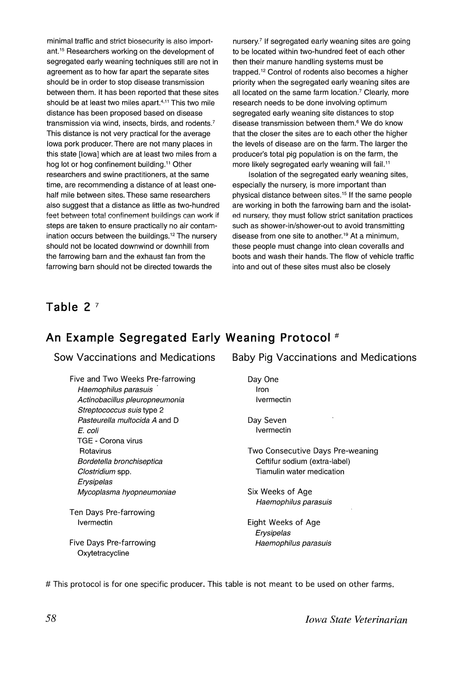minimal traffic and strict biosecurity is also important. <sup>15</sup> Researchers working on the development of segregated early weaning techniques still are not in agreement as to how far apart the separate sites should be in order to stop disease transmission between them. It has been reported that these sites should be at least two miles apart.<sup>4,11</sup> This two mile distance has been proposed based on disease transmission via wind, insects, birds, and rodents.? This distance is not very practical for the average Iowa pork producer. There are not many places in this state [lowa] which are at least two miles from a hog lot or hog confinement building.<sup>11</sup> Other researchers and swine practitioners, at the same time, are recommending a distance of at least onehalf mile between sites. These same researchers also suggest that a distance as little as two-hundred feet between total confinement buildings can work if steps are taken to ensure practically no air contamination occurs between the buildings. <sup>12</sup> The nursery should not be located downwind or downhill from the farrowing barn and the exhaust fan from the farrowing barn should not be directed towards the

nursery.? If segregated early weaning sites are going to be located within two-hundred feet of each other then their manure handling systems must be trapped. <sup>12</sup> Control of rodents also becomes a higher priority when the segregated early weaning sites are all located on the same farm location.<sup>7</sup> Clearly, more research needs to be done involving optimum segregated early weaning site distances to stop disease transmission between them.<sup>6</sup> We do know that the closer the sites are to each other the higher the levels of disease are on the farm. The larger the producer's total pig population is on the farm, the more likely segregated early weaning will fail.<sup>11</sup>

Isolation of the segregated early weaning sites, especially the nursery, is more important than physical distance between sites. <sup>15</sup> If the same people are working in both the farrowing barn and the isolated nursery: they must follow strict sanitation practices such as shower-in/shower-out to avoid transmitting disease from one site to another.<sup>19</sup> At a minimum, these people must change into clean coveralls and boots and wash their hands. The flow of vehicle traffic into and out of these sites must also be closely

#### **Table 2 <sup>7</sup>**

### **An Example Segregated Early Weaning Protocol #**

SOW Vaccinations and Medications

Five and Two Weeks Pre-farrowing Haemophilus parasuis . Actinobacillus pleuropneumonia Streptococcus suis type 2 Pasteurella multocida A and D E. coli TGE - Corona virus Rotavirus Bordetella bronchiseptica Clostridium spp. Erysipelas Mycoplasma hyopneumoniae

Ten Days Pre-farrowing Ivermectin

Five Days Pre-farrowing Oxytetracycline

Baby Pig Vaccinations and Medications

Day One Iron Ivermectin

Day Seven Ivermectin

Two Consecutive Days Pre-weaning Ceftifur sodium (extra-label) Tiamulin water medication

Six Weeks of Age Haemophilus parasuis

Eight Weeks of Age Erysipelas Haemophilus parasuis

# This protocol is for one specific producer. This table is not meant to be used on other farms.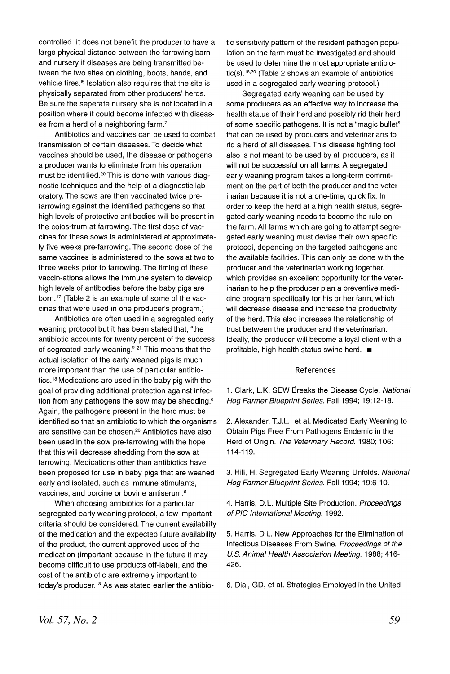controlled. It does not benefit the producer to have a large physical distance between the farrowing barn and nursery if diseases are being transmitted between the two sites on clothing, boots, hands, and vehicle tires.<sup>15</sup> Isolation also requires that the site is physically separated from other producers' herds. Be sure the seperate nursery site is not located in a position where it could become infected with diseases from a herd of a neighboring farm.<sup>7</sup>

Antibiotics and vaccines can be used to combat transrrlission of certain diseases. To decide what vaccines should be used, the disease or pathogens a producer wants to eliminate from his operation must be identified.<sup>20</sup> This is done with various diagnostic techniques and the help of a diagnostic laboratory. The sows are then vaccinated twice prefarrowing against the identified pathogens so that high levels of protective antibodies will be present in the colos-trum at farrowing. The first dose of vaccines for these sows is administered at approximately five weeks pre-farrowing. The second dose of the same vaccines is administered to the sows at two to three weeks prior to farrowing. The timing of these vaccin-ations allows the immune system to develop high levels of antibodies before the baby pigs are born.1? (Table 2 is an example of some of the vaccines that were used in one producer's program.)

Antibiotics are often used in a segregated early weaning protocol but it has been stated that, "the antibiotic accounts for twenty percent of the success of segreated early weaning." <sup>21</sup> This means that the actual isolation of the early weaned pigs is much more important than the use of particular antibiotics. <sup>18</sup> Medications are used in the baby pig with the goal of providing additional protection against infection from any pathogens the sow may be shedding.<sup>6</sup> Again, the pathogens present in the herd must be identified so that an antibiotic to which the organisms are sensitive can be chosen.<sup>20</sup> Antibiotics have also been used in the sow pre-farrowing with the hope that this will decrease shedding from the sow at farrowing. Medications other than antibiotics have been proposed for use in baby pigs that are weaned early and isolated, such as immune stimulants, vaccines, and porcine or bovine antiserum. <sup>6</sup>

When choosing antibiotics for a particular segregated early weaning protocol, a few important criteria should be considered. The current availability of the medication and the expected future availability of the product, the current approved uses of the medication (important because in the future it may become difficult to use products off-label), and the cost of the antibiotic are extremely important to today's producer.<sup>18</sup> As was stated earlier the antibiotic sensitivity pattern of the resident pathogen population on the farm must be investigated and should be used to determine the most appropriate antibiotic(s).<sup>18,20</sup> (Table 2 shows an example of antibiotics used in a segregated early weaning protocol.)

Segregated early weaning can be used by some producers as an effective way to increase the health status of their herd and possibly rid their herd of some specific pathogens. It is not a "magic bullet" that can be used by producers and veterinarians to rid a herd of all diseases. This disease fighting tool also is not meant to be used by all producers, as it will not be successful on all farms. A segregated early weaning program takes a long-term commitment on the part of both the producer and the veterinarian because it is not a one-time, quick fix. In order to keep the herd at a high health status, segregated early weaning needs to become the rule on the farm. All farms which are going to attempt segregated early weaning must devise their own specific protocol, depending on the targeted pathogens and the available facilities. This can only be done with the producer and the veterinarian working together, which provides an excellent opportunity for the veterinarian to help the producer plan a preventive medicine program specifically for his or her farm, which will decrease disease and increase the productivity of the herd. This also increases the relationship of trust between the producer and the veterinarian. Ideally, the producer will become a loyal client with a profitable, high health status swine herd.  $\blacksquare$ 

#### References

1. Clark, L.K. SEW Breaks the Disease Cycle. National Hog Farmer Blueprint Series. Fall 1994; 19:12-18.

2. Alexander, T.J.L., et al. Medicated Early Weaning to Obtain Pigs Free From Pathogens Endemic in the Herd of Origin. The Veterinary Record. 1980; 106: 114-119.

3. Hill, H. Segregated Early Weaning Unfolds. National Hog Farmer Blueprint Series. Fall 1994; 19:6-10.

4. Harris, D.L. Multiple Site Production. Proceedings of PIC International Meeting. 1992.

5. Harris, D.L. New Approaches for the Elimination of Infectious Diseases From Swine. Proceedings of the U.S. Animal Health Association Meeting. 1988; 416-426.

6. Dial, GO, et al. Strategies Employed in the United